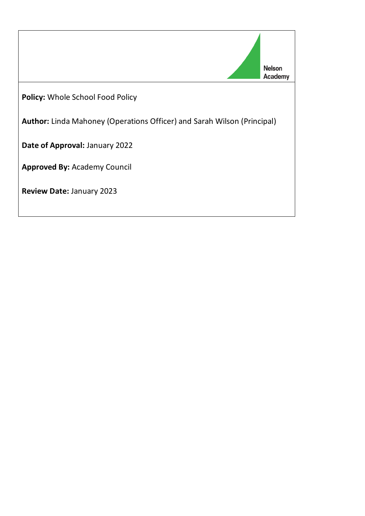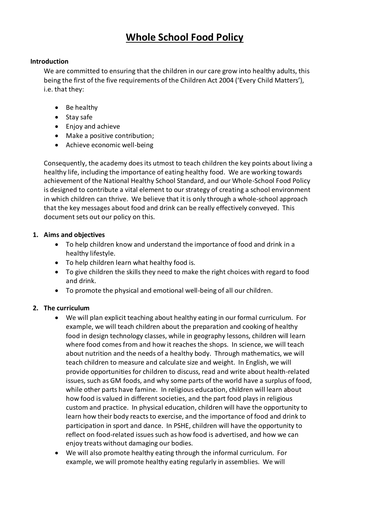# **Whole School Food Policy**

#### **Introduction**

We are committed to ensuring that the children in our care grow into healthy adults, this being the first of the five requirements of the Children Act 2004 ('Every Child Matters'), i.e. that they:

- Be healthy
- Stay safe
- Enjoy and achieve
- Make a positive contribution;
- Achieve economic well-being

Consequently, the academy does its utmost to teach children the key points about living a healthy life, including the importance of eating healthy food. We are working towards achievement of the National Healthy School Standard, and our Whole-School Food Policy is designed to contribute a vital element to our strategy of creating a school environment in which children can thrive. We believe that it is only through a whole-school approach that the key messages about food and drink can be really effectively conveyed. This document sets out our policy on this.

# **1. Aims and objectives**

- To help children know and understand the importance of food and drink in a healthy lifestyle.
- To help children learn what healthy food is.
- To give children the skills they need to make the right choices with regard to food and drink.
- To promote the physical and emotional well-being of all our children.

# **2. The curriculum**

- We will plan explicit teaching about healthy eating in our formal curriculum. For example, we will teach children about the preparation and cooking of healthy food in design technology classes, while in geography lessons, children will learn where food comes from and how it reaches the shops. In science, we will teach about nutrition and the needs of a healthy body. Through mathematics, we will teach children to measure and calculate size and weight. In English, we will provide opportunities for children to discuss, read and write about health-related issues, such as GM foods, and why some parts of the world have a surplus of food, while other parts have famine. In religious education, children will learn about how food is valued in different societies, and the part food plays in religious custom and practice. In physical education, children will have the opportunity to learn how their body reacts to exercise, and the importance of food and drink to participation in sport and dance. In PSHE, children will have the opportunity to reflect on food-related issues such as how food is advertised, and how we can enjoy treats without damaging our bodies.
- We will also promote healthy eating through the informal curriculum. For example, we will promote healthy eating regularly in assemblies. We will